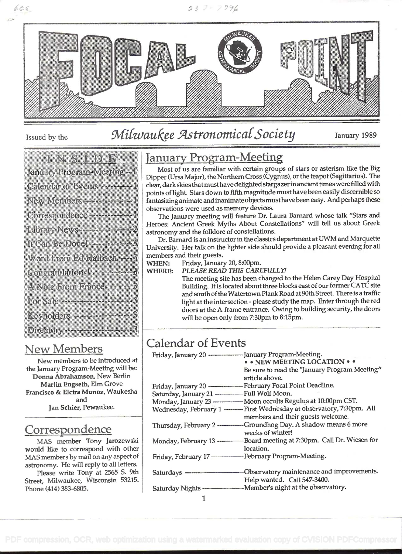

Issued by the

 $665$ 

# Milwaukee Astronomical Society January 1989

|                                | <u>ienstelling</u> |  |  |  |
|--------------------------------|--------------------|--|--|--|
| January Program Meeting - I    |                    |  |  |  |
| Calendar of Events ----------- |                    |  |  |  |
| New Members and The Wales      |                    |  |  |  |
| Correspondence - The Table     |                    |  |  |  |
| Library News 2000              |                    |  |  |  |
|                                |                    |  |  |  |
| Word From Ed Halbach - 2       |                    |  |  |  |
|                                |                    |  |  |  |
| A Note From France             |                    |  |  |  |
|                                |                    |  |  |  |
|                                |                    |  |  |  |
|                                |                    |  |  |  |

#### New Members

New members to be introduced at the January Program-Meeting will be: Donna Abrahamson, New Berlin Martin Engseth, Elm Grove Francisco & Elcira Munoz, Waukesha and Jan Schier, Pewaukee.

# Correspondence

MAS member Tony Jarozewski would like to correspond with other MAS members by mail on any aspect of astronomy. He will reply to all letters.

Please write Tony at 2565 S. 9th Street, Milwaukee, Wisconsin 53215. Phone (414) 383-6805.

# January Program-Meeting

Most of us are familiar with certain groups of stars or asterism like the Big Dipper (Ursa Major), the Northern Cross (Cygnus), or the teapot (Sagittarius). The clear, dark skies that must have delighted stargazerinancient times were filled with fantasizing animate and inanimate objects must have been easy. And perhaps these observations were used as memory devices.

The January meeting will feature Dr. Laura Barnard whose talk "Stars and Heroes: Ancient Greek Myths About Constellations" will tell us about Greek astronomy and the folklore of constellations.

Dr. Barnard is an instructor in the classics department at UWM and Marquette University. Her talk on the lighter side should provide a pleasant evening for all members and their guests.

WHEN: Friday, January 20, 8:00pm.

WHERE: PLEASE READ THIS CAREFULLY!

The meeting site has been changed to the Helen Carey Day Hospital Building. It is located about three blocks east of our former CATC site and south of the Watertown Plank Road at 90th Street. There is a traffic light at the intersection - please study the map. Enter through the red doors at the A-frame entrance. Owing to building security, the doors will be open only from 7:30pm to 8:15pm.

# Calendar of Events

| Friday, January 20 ----------------- January Program-Meeting. | • • NEW MEETING LOCATION • •<br>Be sure to read the "January Program Meeting"<br>article above. |
|---------------------------------------------------------------|-------------------------------------------------------------------------------------------------|
|                                                               |                                                                                                 |
| Saturday, January 21 ---------------Full Wolf Moon.           |                                                                                                 |
|                                                               | Monday, January 23 --------------- Moon occults Regulus at 10:00pm CST.                         |
|                                                               | Wednesday, February 1 --------- First Wednesday at observatory, 7:30pm. All                     |
|                                                               | members and their guests welcome.                                                               |
|                                                               | Thursday, February 2 ------------- Groundhog Day. A shadow means 6 more<br>weeks of winter!     |
|                                                               | Monday, February 13 ---------------Board meeting at 7:30pm. Call Dr. Wiesen for                 |
|                                                               | location.                                                                                       |
| Friday, February 17-------------- February Program-Meeting.   |                                                                                                 |
|                                                               |                                                                                                 |
|                                                               |                                                                                                 |
|                                                               | Help wanted. Call 547-3400.                                                                     |
|                                                               | Saturday Nights - Member's night at the observatory.                                            |

 $\mathbf{1}$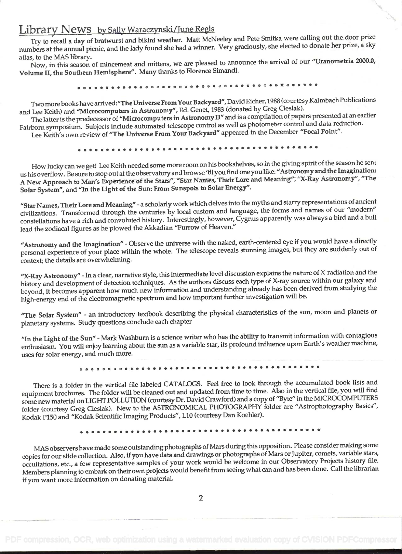#### Library News\_by Sally Waraczynski/June Regis

Try to recall a day of bratwurst and bikini weather. Matt McNeeley and Pete Smitka were calling out the, door prize numbers at the annual picnic, and the lady found she had a winner. Very graciously, she elected to donate her prize, a sky atlas, to the MAS library.

Now, in this season of mincemeat and mittens, we are pleased to announce the arrival of our "Uranometria 2000.0, Volume II, the Southern Hemisphere". Many thanks to Florence Simandi. s SS <sup>S</sup>SS . .. . ... ..... . s. s <sup>s</sup>

Two more books have arrived:"The Universe From Your Backyard", David Eicher, 1988 (courtesy Kaimbach Publications and Lee Keith) and "Microcomputers in Astronomy", Ed. Genet, 1983 (donated by Greg Cieslak).

The latter is the predecessor of "Microcomputers in Astronomy II" and is a compilation of papers presented at an earlier Fairborn symposium. Subjects include automated telescope control as well as photometer control and data reduction.

born symposium. Subjects include automated telescope control as well as photolitect control and data reduction<br>Lee Keith's own review of "The Universe From Your Backyard" appeared in the December "Focal Point".<br>•••••••••••

How lucky can we get! Lee Keith needed some more room on his bookshelves, so in the giving spirit of the season he sent us his overflow. Be sure to stop out at the observatory and browse 'tilyou find one you like: "Astronomy and the Imagination: A New Approach to Man's Experience of the Stars", "Star Names, Their Lore and Meaning", "X-Ray Astronomy", "The Solar System", and "In the Light of the Sun: From Sunspots to Solar Energy".

"Star Names, Their Lore and Meaning" -a scholarly work which delves into the myths and starry representations of ancient civilizations. Transformed through the centuries by local custom and language, the forms and names of our "modern" constellations have a rich and convoluted history. Interestingly, however, Cygnus apparently was always a bird and a bull lead the zodiacal figures as he plowed the Akkadian "Furrow of Heaven."

"Astronomy and the Imagination" - Observe the universe with the naked, earth-centered eye if you would have a directly personal experience of your place within the whole. The telescope reveals stunning images, but they are suddenly out of context; the details are overwhelming.

"X-Ray Astronomy" - In a clear, narrative style, this intermediate level discussion explains the nature of X-radiation and the history and development of detection techniques. As the authors discuss each type of X-ray source within our galaxy and beyond, it becomes apparent how much new information and understanding already has been derived from studying the high-energy end of the electromagnetic spectrum and how important further investigation will be.

"The Solar System" - an introductory textbook describing the physical characteristics of the sun, moon and planets or planetary systems. Study questions conclude each chapter

"In the Light of the Sun" - Mark Washburn is a science writer who has the ability to transmit information with contagious enthusiasm. You will enjoy learning about the sun as a variable star, its profound influence upon Earth's weather machine, uses for solar energy, and much more.

. s.. .................I.......... ... s.. s...

There is a folder in the vertical file labeled CATALOGS. Feel free to look through the accumulated book lists and equipment brochures. The folder will be cleaned out and updated from time to time. Also in the vertical file, you will find some new material on LIGHT POLLUTION (courtesy Dr. David Crawford) and a copy of "Byte" in the MICROCOMPUTERS folder (courtesy Greg Cieslak). New to the ASTRONOMICAL PHOTOGRAPHY folder are "Astrophotography Basics", Kodak P150 and "Kodak Scientific Imaging Products", LlO (courtesy Dan Koehler).

.........s....ss............ 5 5S

MAS observers have made some outstanding photographs of Mars during this opposition. Please consider making some copies for our slide collection. Also, if you have data and drawings or photographs of Mars or Jupiter, comets, variable stars, occultations, etc., a few representative samples of your work would be welcome in our Observatory Projects history file. Members planning to embark on their own projects would benefit from seeing what can and has been done. Call the librarian if you want more information on donating material.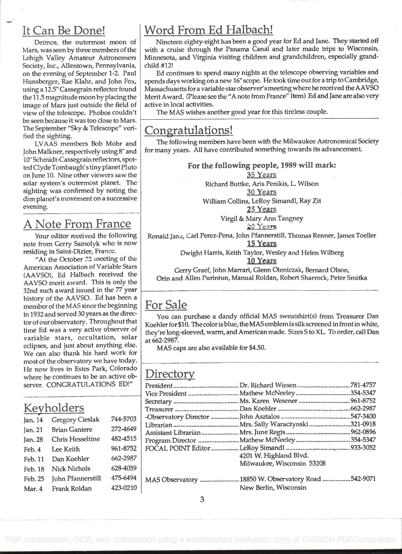### It Can Be Done!

Deimos, the outermost moon of Mars, was seen by three members of the Lehigh Valley Amateur Astronomers Society, Inc., Allentown, Pennsylvania, on the evening of September 1-2. Paul Hunsberger, Rae Klahr, and John Fox, using a 12.5" Cassegrain reflector found the 11.5 magnitude moon by placing the image of Mars just outside the field of view of the telescope. Phobos couldn't be seen because it was too close to Mars. The September "Sky & Telescope" verified the sighting.

LVAAS members Bob Mohr and John Maikner, respectively using 8" and lo" Schmidt-Cassegrain reflectors, spotted Clyde Tombaugh's tiny planet Pluto on June 10. Nine other viewers saw the solar system's outermost planet. The sighting was confirmed by noting the dim planet's movement on a successive evening.

# A Note From France

Your editor received the following note from Gerry Samolyk who is now residing in Saint-Dizier, France.

"At the October 22 meeting of the American Association of Variable Stars (AAVSO), Ed Halbach received the AAVSO merit award. This is only the 32nd such award issued in the 77 year hitory of the AAVSO. Ed has been a member of the MAS since the beginning in 1932 and served 30 years as the director of our observatory. Throughout that time Ed was a very active observer of variable stars, occultation, solar eclipses, and just about anything else. We can also thank his hard work for most of the observatory we have today. He now lives in Estes Park, Colorado where he continues to be an active observer. CONGRATULATIONS ED!"

| 744-5703<br><b>Gregory Cieslak</b><br>Jan. $14$<br>Lil<br>272-4649<br><b>Brian Ganiere</b><br>Jan. 21<br>As<br>482-4515<br><b>Chris Hesseltine</b><br>Jan. 28<br>961-8752<br>Lee Keith<br>Feb. 4<br>662-2987<br>Dan Koehler<br>Feb. 11<br>628-4059<br><b>Nick Nichols</b><br>Feb. 18<br>475-6494<br><b>John Pfannerstill</b><br>Feb. 25<br>423-0210<br>Frank Roldan<br>Mar. 4 | Keyholders |  |  |     |  |
|-------------------------------------------------------------------------------------------------------------------------------------------------------------------------------------------------------------------------------------------------------------------------------------------------------------------------------------------------------------------------------|------------|--|--|-----|--|
|                                                                                                                                                                                                                                                                                                                                                                               |            |  |  | -0  |  |
|                                                                                                                                                                                                                                                                                                                                                                               |            |  |  |     |  |
|                                                                                                                                                                                                                                                                                                                                                                               |            |  |  | Pro |  |
|                                                                                                                                                                                                                                                                                                                                                                               |            |  |  | FC  |  |
|                                                                                                                                                                                                                                                                                                                                                                               |            |  |  |     |  |
|                                                                                                                                                                                                                                                                                                                                                                               |            |  |  |     |  |
|                                                                                                                                                                                                                                                                                                                                                                               |            |  |  | M   |  |
|                                                                                                                                                                                                                                                                                                                                                                               |            |  |  |     |  |

# Word From Ed Halbach!

Nineteen eighty-eight has been a good year for Ed and Jane. They started off with a cruise through the Panama Canal and later made trips to Wisconsin, Minnesota, and Virginia visiting children and grandchildren, especially grandchild #12!

Ed continues to spend many nights at the telescope observing variables and spends days working on a new 16" scope. He took time out for a trip to Cambridge, Massachusetts for a variable star observer'smeeting where he received the AAVSO Merit Award. (Please see the "A note from France" Item) Ed and Jane are also very active in local activities.

The MAS wishes another good year for this tireless couple.

#### Congratulations!

The following members have been with the Milwaukee Astronomical Society for many years. All have contributed something towards its advancement.

> For the following people, 1989 will mark: 35 Years Richard Buttke, Ans Pemkis, L. Wilson 3g Years William Collins, LeRoy Simandl, Ray Zit 25 Years Virgil & Mary Ann Tangney<br>20 Years

Ronald-Jan., Carl Perez-Pena, John Pfannerstill, Thomas Renner, James Toeller

15 Years

Dwight Harris, Keith Taylor, Wesley and Helen Wilberg

10 Years

Gerry Graef, John Marran, Glenn Oleniczak, Bernard Olson, Orin and Allen Purintun, Manual Roldan, Robert Sharrock, Peter Smitka

# For Sale

You can purchase a dandy official MAS sweatshirt(s) from Treasurer Dan Koehler for \$10. The color isblue, theMAS emblemis silk screened in front inwhite, they're long-sleeved, warm, and American made. Sizes S to XL. To order, call Dan at 662-2987.

MAS caps are also available for \$4.50.

# **Directory**

| 4201 W. Highland Blvd.                             |  |
|----------------------------------------------------|--|
| Milwaukee, Wisconsin 53208                         |  |
| MAS Observatory 18850 W. Observatory Road 542-9071 |  |

New Berlin, Wisconsin